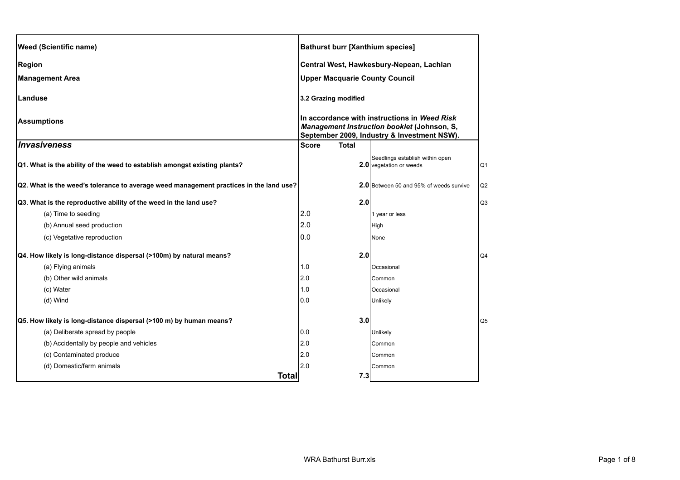| <b>Weed (Scientific name)</b>                                                          | <b>Bathurst burr [Xanthium species]</b>                                                                                                    |                                                            |                |
|----------------------------------------------------------------------------------------|--------------------------------------------------------------------------------------------------------------------------------------------|------------------------------------------------------------|----------------|
| <b>Region</b>                                                                          |                                                                                                                                            | Central West, Hawkesbury-Nepean, Lachlan                   |                |
| <b>Management Area</b>                                                                 | <b>Upper Macquarie County Council</b>                                                                                                      |                                                            |                |
| Landuse                                                                                | 3.2 Grazing modified                                                                                                                       |                                                            |                |
| <b>Assumptions</b>                                                                     | In accordance with instructions in Weed Risk<br>Management Instruction booklet (Johnson, S,<br>September 2009, Industry & Investment NSW). |                                                            |                |
| Invasiveness                                                                           | <b>Total</b><br><b>Score</b>                                                                                                               |                                                            |                |
| Q1. What is the ability of the weed to establish amongst existing plants?              |                                                                                                                                            | Seedlings establish within open<br>2.0 vegetation or weeds | Q1             |
| Q2. What is the weed's tolerance to average weed management practices in the land use? |                                                                                                                                            | <b>2.0</b> Between 50 and 95% of weeds survive             | Q2             |
| Q3. What is the reproductive ability of the weed in the land use?                      | 2.0                                                                                                                                        |                                                            | Q <sub>3</sub> |
| (a) Time to seeding                                                                    | 2.0                                                                                                                                        | 1 year or less                                             |                |
| (b) Annual seed production                                                             | 2.0                                                                                                                                        | High                                                       |                |
| (c) Vegetative reproduction                                                            | 0.0                                                                                                                                        | None                                                       |                |
| Q4. How likely is long-distance dispersal (>100m) by natural means?                    | 2.0                                                                                                                                        |                                                            | Q4             |
| (a) Flying animals                                                                     | 1.0                                                                                                                                        | Occasional                                                 |                |
| (b) Other wild animals                                                                 | 2.0                                                                                                                                        | Common                                                     |                |
| (c) Water                                                                              | 1.0                                                                                                                                        | Occasional                                                 |                |
| (d) Wind                                                                               | 0.0                                                                                                                                        | Unlikely                                                   |                |
| Q5. How likely is long-distance dispersal (>100 m) by human means?                     | 3.0                                                                                                                                        |                                                            | Q <sub>5</sub> |
| (a) Deliberate spread by people                                                        | 0.0                                                                                                                                        | Unlikely                                                   |                |
| (b) Accidentally by people and vehicles                                                | 2.0                                                                                                                                        | Common                                                     |                |
| (c) Contaminated produce                                                               | 2.0                                                                                                                                        | Common                                                     |                |
| (d) Domestic/farm animals                                                              | 2.0                                                                                                                                        | Common                                                     |                |
| <b>Total</b>                                                                           | 7.3                                                                                                                                        |                                                            |                |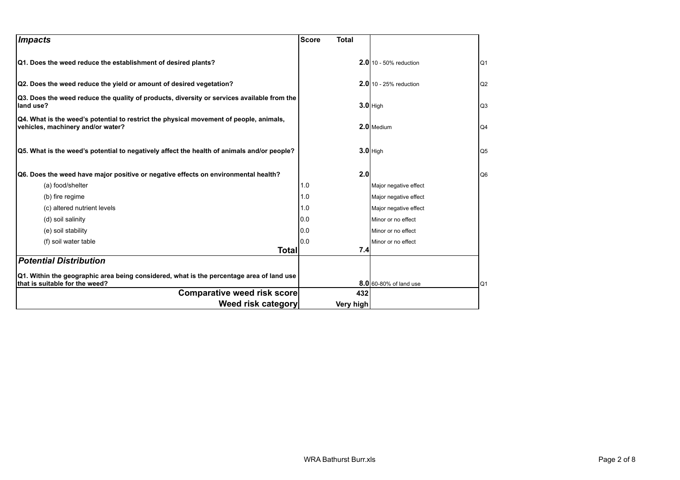| Impacts                                                                                                                     | <b>Score</b><br><b>Total</b> |                          |                |
|-----------------------------------------------------------------------------------------------------------------------------|------------------------------|--------------------------|----------------|
| Q1. Does the weed reduce the establishment of desired plants?                                                               |                              | $2.0$ 10 - 50% reduction | Q <sub>1</sub> |
| Q2. Does the weed reduce the yield or amount of desired vegetation?                                                         |                              | $2.0$ 10 - 25% reduction | Q2             |
| Q3. Does the weed reduce the quality of products, diversity or services available from the<br>land use?                     |                              | $3.0$ High               | Q3             |
| Q4. What is the weed's potential to restrict the physical movement of people, animals,<br>vehicles, machinery and/or water? |                              | 2.0 Medium               | Q <sub>4</sub> |
| Q5. What is the weed's potential to negatively affect the health of animals and/or people?                                  |                              | $3.0$ High               | Q <sub>5</sub> |
| Q6. Does the weed have major positive or negative effects on environmental health?                                          | 2.0                          |                          | Q <sub>6</sub> |
| (a) food/shelter                                                                                                            | 1.0                          | Major negative effect    |                |
| (b) fire regime                                                                                                             | 1.0                          | Major negative effect    |                |
| (c) altered nutrient levels                                                                                                 | 1.0                          | Major negative effect    |                |
| (d) soil salinity                                                                                                           | 0.0                          | Minor or no effect       |                |
| (e) soil stability                                                                                                          | 0.0                          | Minor or no effect       |                |
| (f) soil water table                                                                                                        | 0.0                          | Minor or no effect       |                |
| <b>Total</b>                                                                                                                | 7.4                          |                          |                |
| <b>Potential Distribution</b>                                                                                               |                              |                          |                |
| Q1. Within the geographic area being considered, what is the percentage area of land use<br>that is suitable for the weed?  |                              | 8.0 60-80% of land use   | Q <sub>1</sub> |
| Comparative weed risk score                                                                                                 | 432                          |                          |                |
| Weed risk category                                                                                                          | Very high                    |                          |                |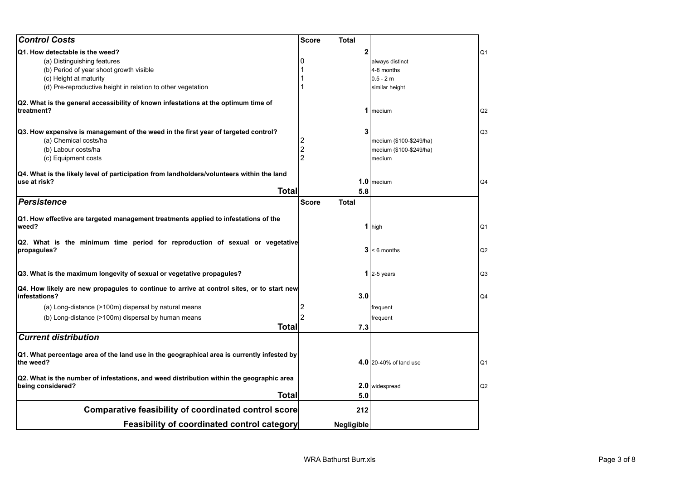| 2<br>(a) Distinguishing features<br>always distinct<br>(b) Period of year shoot growth visible<br>4-8 months<br>(c) Height at maturity<br>$0.5 - 2m$<br>(d) Pre-reproductive height in relation to other vegetation<br>similar height<br>1 medium<br>3<br>Q3. How expensive is management of the weed in the first year of targeted control?<br>Q <sub>3</sub><br>(a) Chemical costs/ha<br>medium (\$100-\$249/ha)<br>$\overline{\mathbf{c}}$<br>(b) Labour costs/ha<br>medium (\$100-\$249/ha)<br>(c) Equipment costs<br>medium<br>Q4. What is the likely level of participation from landholders/volunteers within the land<br>$1.0$ medium<br>use at risk?<br>Q4<br><b>Total</b><br>5.8<br><b>Total</b><br><b>Score</b><br>$1$ high<br>Q2. What is the minimum time period for reproduction of sexual or vegetative<br>$3 < 6$ months<br>1 2-5 years<br>Q4. How likely are new propagules to continue to arrive at control sites, or to start new<br>3.0<br>(a) Long-distance (>100m) dispersal by natural means<br>frequent<br>(b) Long-distance (>100m) dispersal by human means<br>frequent<br><b>Total</b><br>7.3<br>Q1. What percentage area of the land use in the geographical area is currently infested by<br>4.0 20-40% of land use<br>being considered?<br>2.0 widespread<br>Q2<br><b>Total</b><br>5.0<br><b>Comparative feasibility of coordinated control score</b><br>212<br><b>Feasibility of coordinated control category</b><br>Negligible | <b>Control Costs</b>                                                                             | <b>Score</b> | <b>Total</b> |                |
|----------------------------------------------------------------------------------------------------------------------------------------------------------------------------------------------------------------------------------------------------------------------------------------------------------------------------------------------------------------------------------------------------------------------------------------------------------------------------------------------------------------------------------------------------------------------------------------------------------------------------------------------------------------------------------------------------------------------------------------------------------------------------------------------------------------------------------------------------------------------------------------------------------------------------------------------------------------------------------------------------------------------------------------------------------------------------------------------------------------------------------------------------------------------------------------------------------------------------------------------------------------------------------------------------------------------------------------------------------------------------------------------------------------------------------------------------------------|--------------------------------------------------------------------------------------------------|--------------|--------------|----------------|
|                                                                                                                                                                                                                                                                                                                                                                                                                                                                                                                                                                                                                                                                                                                                                                                                                                                                                                                                                                                                                                                                                                                                                                                                                                                                                                                                                                                                                                                                | Q1. How detectable is the weed?                                                                  |              |              | Q1             |
|                                                                                                                                                                                                                                                                                                                                                                                                                                                                                                                                                                                                                                                                                                                                                                                                                                                                                                                                                                                                                                                                                                                                                                                                                                                                                                                                                                                                                                                                |                                                                                                  |              |              |                |
|                                                                                                                                                                                                                                                                                                                                                                                                                                                                                                                                                                                                                                                                                                                                                                                                                                                                                                                                                                                                                                                                                                                                                                                                                                                                                                                                                                                                                                                                |                                                                                                  |              |              |                |
|                                                                                                                                                                                                                                                                                                                                                                                                                                                                                                                                                                                                                                                                                                                                                                                                                                                                                                                                                                                                                                                                                                                                                                                                                                                                                                                                                                                                                                                                |                                                                                                  |              |              |                |
|                                                                                                                                                                                                                                                                                                                                                                                                                                                                                                                                                                                                                                                                                                                                                                                                                                                                                                                                                                                                                                                                                                                                                                                                                                                                                                                                                                                                                                                                |                                                                                                  |              |              |                |
|                                                                                                                                                                                                                                                                                                                                                                                                                                                                                                                                                                                                                                                                                                                                                                                                                                                                                                                                                                                                                                                                                                                                                                                                                                                                                                                                                                                                                                                                | Q2. What is the general accessibility of known infestations at the optimum time of<br>treatment? |              |              | Q2             |
|                                                                                                                                                                                                                                                                                                                                                                                                                                                                                                                                                                                                                                                                                                                                                                                                                                                                                                                                                                                                                                                                                                                                                                                                                                                                                                                                                                                                                                                                |                                                                                                  |              |              |                |
|                                                                                                                                                                                                                                                                                                                                                                                                                                                                                                                                                                                                                                                                                                                                                                                                                                                                                                                                                                                                                                                                                                                                                                                                                                                                                                                                                                                                                                                                |                                                                                                  |              |              |                |
|                                                                                                                                                                                                                                                                                                                                                                                                                                                                                                                                                                                                                                                                                                                                                                                                                                                                                                                                                                                                                                                                                                                                                                                                                                                                                                                                                                                                                                                                |                                                                                                  |              |              |                |
|                                                                                                                                                                                                                                                                                                                                                                                                                                                                                                                                                                                                                                                                                                                                                                                                                                                                                                                                                                                                                                                                                                                                                                                                                                                                                                                                                                                                                                                                |                                                                                                  |              |              |                |
|                                                                                                                                                                                                                                                                                                                                                                                                                                                                                                                                                                                                                                                                                                                                                                                                                                                                                                                                                                                                                                                                                                                                                                                                                                                                                                                                                                                                                                                                |                                                                                                  |              |              |                |
|                                                                                                                                                                                                                                                                                                                                                                                                                                                                                                                                                                                                                                                                                                                                                                                                                                                                                                                                                                                                                                                                                                                                                                                                                                                                                                                                                                                                                                                                |                                                                                                  |              |              |                |
|                                                                                                                                                                                                                                                                                                                                                                                                                                                                                                                                                                                                                                                                                                                                                                                                                                                                                                                                                                                                                                                                                                                                                                                                                                                                                                                                                                                                                                                                |                                                                                                  |              |              |                |
|                                                                                                                                                                                                                                                                                                                                                                                                                                                                                                                                                                                                                                                                                                                                                                                                                                                                                                                                                                                                                                                                                                                                                                                                                                                                                                                                                                                                                                                                | <b>Persistence</b>                                                                               |              |              |                |
|                                                                                                                                                                                                                                                                                                                                                                                                                                                                                                                                                                                                                                                                                                                                                                                                                                                                                                                                                                                                                                                                                                                                                                                                                                                                                                                                                                                                                                                                |                                                                                                  |              |              |                |
|                                                                                                                                                                                                                                                                                                                                                                                                                                                                                                                                                                                                                                                                                                                                                                                                                                                                                                                                                                                                                                                                                                                                                                                                                                                                                                                                                                                                                                                                | Q1. How effective are targeted management treatments applied to infestations of the<br>weed?     |              |              | Q1             |
|                                                                                                                                                                                                                                                                                                                                                                                                                                                                                                                                                                                                                                                                                                                                                                                                                                                                                                                                                                                                                                                                                                                                                                                                                                                                                                                                                                                                                                                                | propagules?                                                                                      |              |              | Q2             |
|                                                                                                                                                                                                                                                                                                                                                                                                                                                                                                                                                                                                                                                                                                                                                                                                                                                                                                                                                                                                                                                                                                                                                                                                                                                                                                                                                                                                                                                                | Q3. What is the maximum longevity of sexual or vegetative propagules?                            |              |              | Q <sub>3</sub> |
|                                                                                                                                                                                                                                                                                                                                                                                                                                                                                                                                                                                                                                                                                                                                                                                                                                                                                                                                                                                                                                                                                                                                                                                                                                                                                                                                                                                                                                                                | infestations?                                                                                    |              |              | Q4             |
|                                                                                                                                                                                                                                                                                                                                                                                                                                                                                                                                                                                                                                                                                                                                                                                                                                                                                                                                                                                                                                                                                                                                                                                                                                                                                                                                                                                                                                                                |                                                                                                  |              |              |                |
|                                                                                                                                                                                                                                                                                                                                                                                                                                                                                                                                                                                                                                                                                                                                                                                                                                                                                                                                                                                                                                                                                                                                                                                                                                                                                                                                                                                                                                                                |                                                                                                  |              |              |                |
|                                                                                                                                                                                                                                                                                                                                                                                                                                                                                                                                                                                                                                                                                                                                                                                                                                                                                                                                                                                                                                                                                                                                                                                                                                                                                                                                                                                                                                                                |                                                                                                  |              |              |                |
|                                                                                                                                                                                                                                                                                                                                                                                                                                                                                                                                                                                                                                                                                                                                                                                                                                                                                                                                                                                                                                                                                                                                                                                                                                                                                                                                                                                                                                                                | <b>Current distribution</b>                                                                      |              |              |                |
|                                                                                                                                                                                                                                                                                                                                                                                                                                                                                                                                                                                                                                                                                                                                                                                                                                                                                                                                                                                                                                                                                                                                                                                                                                                                                                                                                                                                                                                                | the weed?                                                                                        |              |              | Q1             |
|                                                                                                                                                                                                                                                                                                                                                                                                                                                                                                                                                                                                                                                                                                                                                                                                                                                                                                                                                                                                                                                                                                                                                                                                                                                                                                                                                                                                                                                                | Q2. What is the number of infestations, and weed distribution within the geographic area         |              |              |                |
|                                                                                                                                                                                                                                                                                                                                                                                                                                                                                                                                                                                                                                                                                                                                                                                                                                                                                                                                                                                                                                                                                                                                                                                                                                                                                                                                                                                                                                                                |                                                                                                  |              |              |                |
|                                                                                                                                                                                                                                                                                                                                                                                                                                                                                                                                                                                                                                                                                                                                                                                                                                                                                                                                                                                                                                                                                                                                                                                                                                                                                                                                                                                                                                                                |                                                                                                  |              |              |                |
|                                                                                                                                                                                                                                                                                                                                                                                                                                                                                                                                                                                                                                                                                                                                                                                                                                                                                                                                                                                                                                                                                                                                                                                                                                                                                                                                                                                                                                                                |                                                                                                  |              |              |                |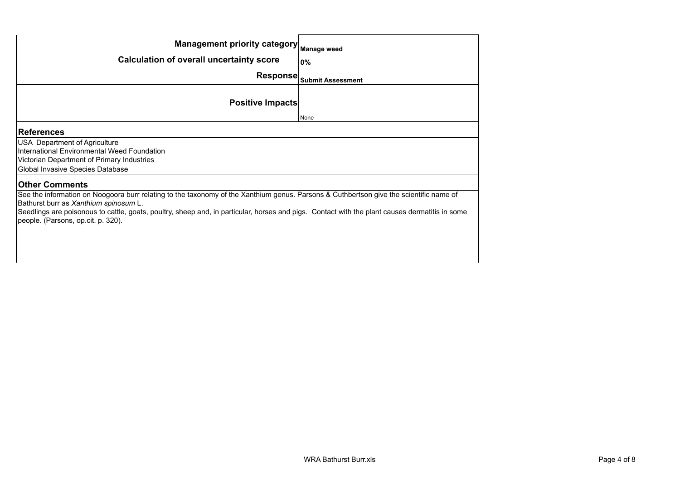| Management priority category Manage weed                                                                                                                                                                                                                                                                                                                                |                            |  |
|-------------------------------------------------------------------------------------------------------------------------------------------------------------------------------------------------------------------------------------------------------------------------------------------------------------------------------------------------------------------------|----------------------------|--|
| <b>Calculation of overall uncertainty score</b>                                                                                                                                                                                                                                                                                                                         | <b>0%</b>                  |  |
|                                                                                                                                                                                                                                                                                                                                                                         | Response Submit Assessment |  |
| <b>Positive Impacts</b>                                                                                                                                                                                                                                                                                                                                                 |                            |  |
|                                                                                                                                                                                                                                                                                                                                                                         | None                       |  |
| <b>References</b>                                                                                                                                                                                                                                                                                                                                                       |                            |  |
| <b>USA</b> Department of Agriculture<br>International Environmental Weed Foundation<br>Victorian Department of Primary Industries<br>Global Invasive Species Database                                                                                                                                                                                                   |                            |  |
| <b>Other Comments</b>                                                                                                                                                                                                                                                                                                                                                   |                            |  |
| See the information on Noogoora burr relating to the taxonomy of the Xanthium genus. Parsons & Cuthbertson give the scientific name of<br>Bathurst burr as Xanthium spinosum L.<br>Seedlings are poisonous to cattle, goats, poultry, sheep and, in particular, horses and pigs. Contact with the plant causes dermatitis in some<br>people. (Parsons, op.cit. p. 320). |                            |  |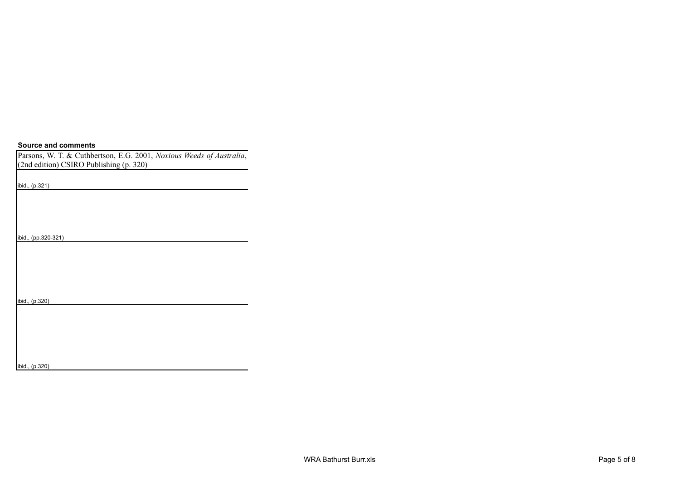## **Source and comments**

Parsons, W. T. & Cuthbertson, E.G. 2001, *Noxious Weeds of Australia*, (2nd edition) CSIRO Publishing (p. 320)

ibid., (p.321)

ibid., (pp.320-321)

ibid., (p.320)

ibid., (p.320)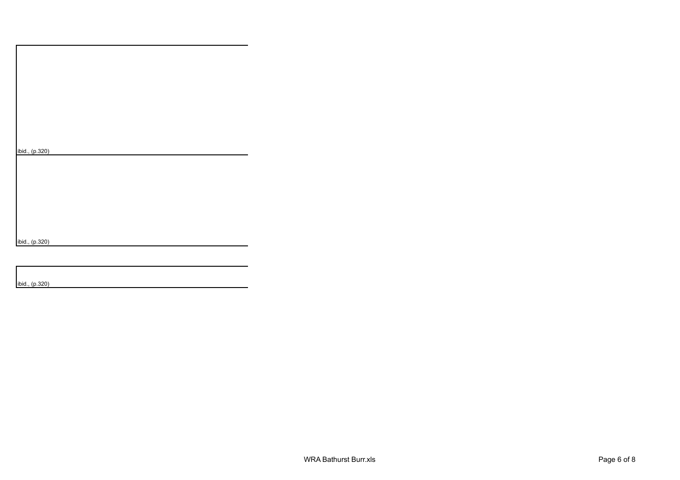|  | ibid., (p.320) |
|--|----------------|
|  |                |

ibid., (p.320)

ibid., (p.320)